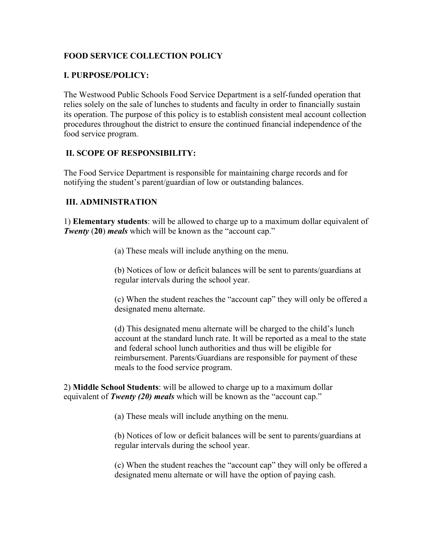## **FOOD SERVICE COLLECTION POLICY**

## **I. PURPOSE/POLICY:**

The Westwood Public Schools Food Service Department is a self-funded operation that relies solely on the sale of lunches to students and faculty in order to financially sustain its operation. The purpose of this policy is to establish consistent meal account collection procedures throughout the district to ensure the continued financial independence of the food service program.

## **II. SCOPE OF RESPONSIBILITY:**

The Food Service Department is responsible for maintaining charge records and for notifying the student's parent/guardian of low or outstanding balances.

## **III. ADMINISTRATION**

1) **Elementary students**: will be allowed to charge up to a maximum dollar equivalent of *Twenty (20) meals* which will be known as the "account cap."

(a) These meals will include anything on the menu.

(b) Notices of low or deficit balances will be sent to parents/guardians at regular intervals during the school year.

(c) When the student reaches the "account cap" they will only be offered a designated menu alternate.

(d) This designated menu alternate will be charged to the child's lunch account at the standard lunch rate. It will be reported as a meal to the state and federal school lunch authorities and thus will be eligible for reimbursement. Parents/Guardians are responsible for payment of these meals to the food service program.

2) **Middle School Students**: will be allowed to charge up to a maximum dollar equivalent of *Twenty (20) meals* which will be known as the "account cap."

(a) These meals will include anything on the menu.

(b) Notices of low or deficit balances will be sent to parents/guardians at regular intervals during the school year.

(c) When the student reaches the "account cap" they will only be offered a designated menu alternate or will have the option of paying cash.